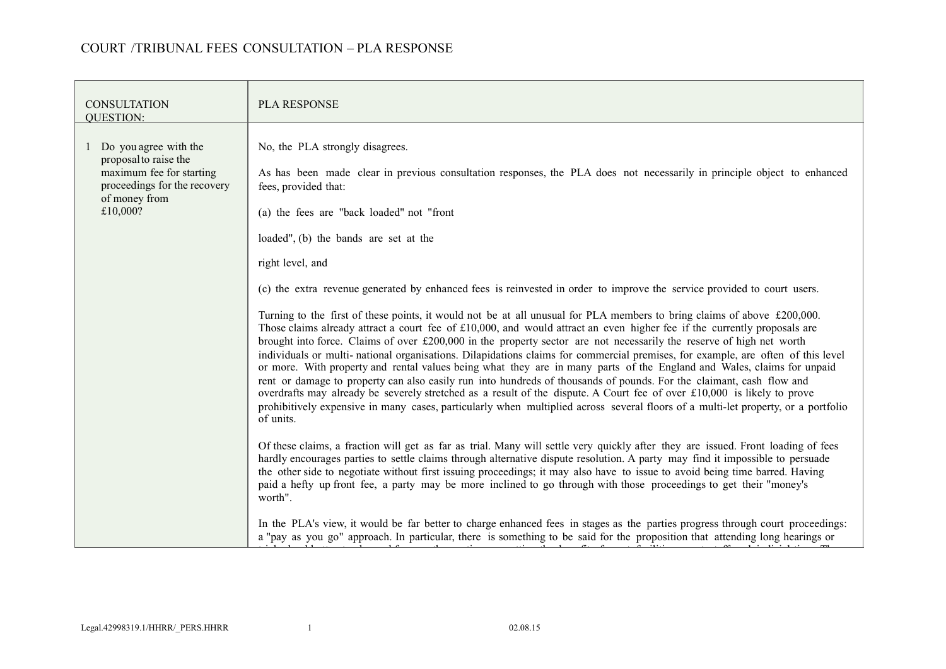| <b>CONSULTATION</b><br><b>OUESTION:</b>                                                                                                   | <b>PLA RESPONSE</b>                                                                                                                                                                                                                                                                                                                                                                                                                                                                                                                                                                                                                                                                                                                                                                                                                                                                                                                                                                                                                                                                                                                                                                                                                                                                                                                                                                                                                                                                                                                                                                                                                                                                                                                                                                                                                                                                                                                                                                                                                                                                                                                                                                                                                                                                   |  |  |  |
|-------------------------------------------------------------------------------------------------------------------------------------------|---------------------------------------------------------------------------------------------------------------------------------------------------------------------------------------------------------------------------------------------------------------------------------------------------------------------------------------------------------------------------------------------------------------------------------------------------------------------------------------------------------------------------------------------------------------------------------------------------------------------------------------------------------------------------------------------------------------------------------------------------------------------------------------------------------------------------------------------------------------------------------------------------------------------------------------------------------------------------------------------------------------------------------------------------------------------------------------------------------------------------------------------------------------------------------------------------------------------------------------------------------------------------------------------------------------------------------------------------------------------------------------------------------------------------------------------------------------------------------------------------------------------------------------------------------------------------------------------------------------------------------------------------------------------------------------------------------------------------------------------------------------------------------------------------------------------------------------------------------------------------------------------------------------------------------------------------------------------------------------------------------------------------------------------------------------------------------------------------------------------------------------------------------------------------------------------------------------------------------------------------------------------------------------|--|--|--|
| 1 Do you agree with the<br>proposal to raise the<br>maximum fee for starting<br>proceedings for the recovery<br>of money from<br>£10,000? | No, the PLA strongly disagrees.<br>As has been made clear in previous consultation responses, the PLA does not necessarily in principle object to enhanced<br>fees, provided that:<br>(a) the fees are "back loaded" not "front"<br>loaded", (b) the bands are set at the<br>right level, and<br>(c) the extra revenue generated by enhanced fees is reinvested in order to improve the service provided to court users.<br>Turning to the first of these points, it would not be at all unusual for PLA members to bring claims of above £200,000.<br>Those claims already attract a court fee of $£10,000$ , and would attract an even higher fee if the currently proposals are<br>brought into force. Claims of over $£200,000$ in the property sector are not necessarily the reserve of high net worth<br>individuals or multi-national organisations. Dilapidations claims for commercial premises, for example, are often of this level<br>or more. With property and rental values being what they are in many parts of the England and Wales, claims for unpaid<br>rent or damage to property can also easily run into hundreds of thousands of pounds. For the claimant, cash flow and<br>overdrafts may already be severely stretched as a result of the dispute. A Court fee of over £10,000 is likely to prove<br>prohibitively expensive in many cases, particularly when multiplied across several floors of a multi-let property, or a portfolio<br>of units.<br>Of these claims, a fraction will get as far as trial. Many will settle very quickly after they are issued. Front loading of fees<br>hardly encourages parties to settle claims through alternative dispute resolution. A party may find it impossible to persuade<br>the other side to negotiate without first issuing proceedings; it may also have to issue to avoid being time barred. Having<br>paid a hefty up front fee, a party may be more inclined to go through with those proceedings to get their "money's<br>worth".<br>In the PLA's view, it would be far better to charge enhanced fees in stages as the parties progress through court proceedings:<br>a "pay as you go" approach. In particular, there is something to be said for the proposition that attending long hearings or |  |  |  |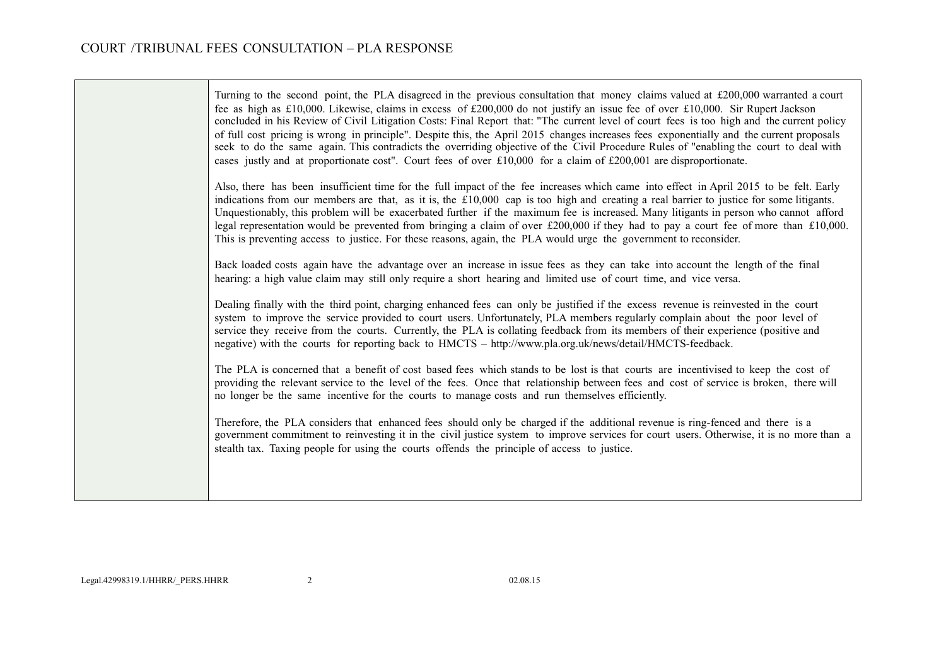$\overline{\phantom{0}}$ 

| Turning to the second point, the PLA disagreed in the previous consultation that money claims valued at £200,000 warranted a court<br>fee as high as £10,000. Likewise, claims in excess of £200,000 do not justify an issue fee of over £10,000. Sir Rupert Jackson<br>concluded in his Review of Civil Litigation Costs: Final Report that: "The current level of court fees is too high and the current policy<br>of full cost pricing is wrong in principle". Despite this, the April 2015 changes increases fees exponentially and the current proposals<br>seek to do the same again. This contradicts the overriding objective of the Civil Procedure Rules of "enabling the court to deal with<br>cases justly and at proportionate cost". Court fees of over $\text{\pounds}10,000$ for a claim of $\text{\pounds}200,001$ are disproportionate. |
|-----------------------------------------------------------------------------------------------------------------------------------------------------------------------------------------------------------------------------------------------------------------------------------------------------------------------------------------------------------------------------------------------------------------------------------------------------------------------------------------------------------------------------------------------------------------------------------------------------------------------------------------------------------------------------------------------------------------------------------------------------------------------------------------------------------------------------------------------------------|
| Also, there has been insufficient time for the full impact of the fee increases which came into effect in April 2015 to be felt. Early<br>indications from our members are that, as it is, the $£10,000$ cap is too high and creating a real barrier to justice for some litigants.<br>Unquestionably, this problem will be exacerbated further if the maximum fee is increased. Many litigants in person who cannot afford<br>legal representation would be prevented from bringing a claim of over £200,000 if they had to pay a court fee of more than £10,000.<br>This is preventing access to justice. For these reasons, again, the PLA would urge the government to reconsider.                                                                                                                                                                    |
| Back loaded costs again have the advantage over an increase in issue fees as they can take into account the length of the final<br>hearing: a high value claim may still only require a short hearing and limited use of court time, and vice versa.                                                                                                                                                                                                                                                                                                                                                                                                                                                                                                                                                                                                      |
| Dealing finally with the third point, charging enhanced fees can only be justified if the excess revenue is reinvested in the court<br>system to improve the service provided to court users. Unfortunately, PLA members regularly complain about the poor level of<br>service they receive from the courts. Currently, the PLA is collating feedback from its members of their experience (positive and<br>negative) with the courts for reporting back to HMCTS - http://www.pla.org.uk/news/detail/HMCTS-feedback.                                                                                                                                                                                                                                                                                                                                     |
| The PLA is concerned that a benefit of cost based fees which stands to be lost is that courts are incentivised to keep the cost of<br>providing the relevant service to the level of the fees. Once that relationship between fees and cost of service is broken, there will<br>no longer be the same incentive for the courts to manage costs and run themselves efficiently.                                                                                                                                                                                                                                                                                                                                                                                                                                                                            |
| Therefore, the PLA considers that enhanced fees should only be charged if the additional revenue is ring-fenced and there is a<br>government commitment to reinvesting it in the civil justice system to improve services for court users. Otherwise, it is no more than a<br>stealth tax. Taxing people for using the courts offends the principle of access to justice.                                                                                                                                                                                                                                                                                                                                                                                                                                                                                 |
|                                                                                                                                                                                                                                                                                                                                                                                                                                                                                                                                                                                                                                                                                                                                                                                                                                                           |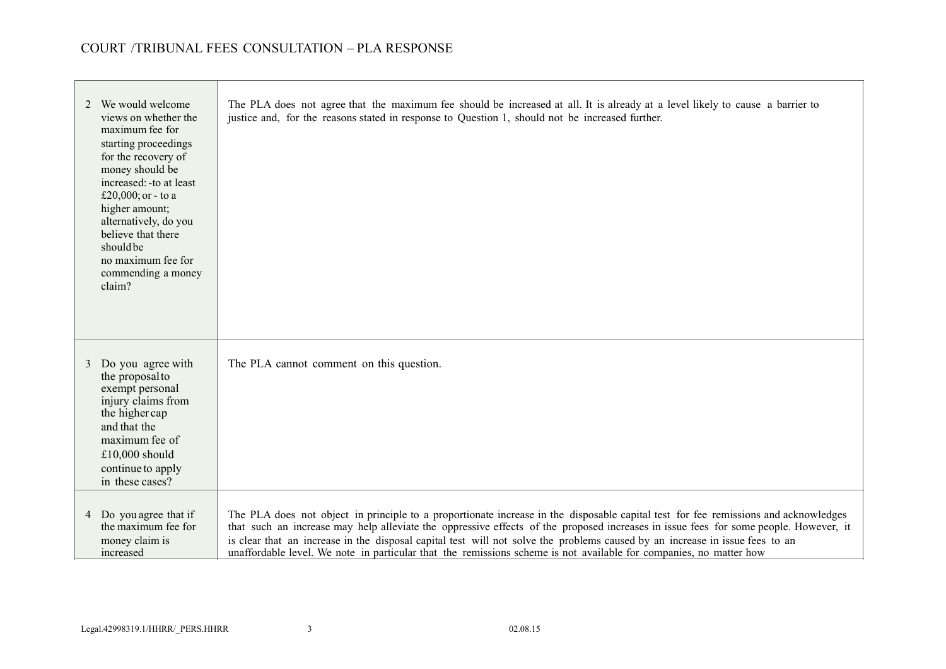| justice and, for the reasons stated in response to Question 1, should not be increased further.                                                                                                                                                                                                                                                                                                             |
|-------------------------------------------------------------------------------------------------------------------------------------------------------------------------------------------------------------------------------------------------------------------------------------------------------------------------------------------------------------------------------------------------------------|
| The PLA cannot comment on this question.                                                                                                                                                                                                                                                                                                                                                                    |
| The PLA does not object in principle to a proportionate increase in the disposable capital test for fee remissions and acknowledges<br>that such an increase may help alleviate the oppressive effects of the proposed increases in issue fees for some people. However, it<br>is clear that an increase in the disposal capital test will not solve the problems caused by an increase in issue fees to an |
|                                                                                                                                                                                                                                                                                                                                                                                                             |

<u> 1989 - Johann Stein, marwolaethau a bh</u>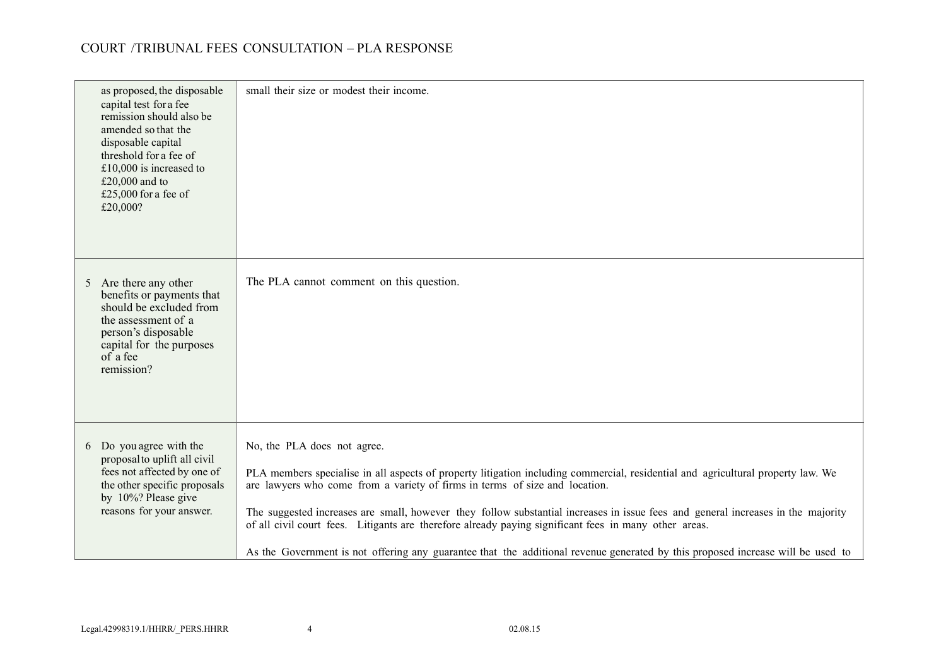| as proposed, the disposable<br>capital test for a fee<br>remission should also be<br>amended so that the<br>disposable capital<br>threshold for a fee of<br>£10,000 is increased to<br>£20,000 and to<br>£25,000 for a fee of<br>£20,000? | small their size or modest their income.                                                                                                                                                                                                                                                                                                                                                                                                                                                                                                                                                                                       |
|-------------------------------------------------------------------------------------------------------------------------------------------------------------------------------------------------------------------------------------------|--------------------------------------------------------------------------------------------------------------------------------------------------------------------------------------------------------------------------------------------------------------------------------------------------------------------------------------------------------------------------------------------------------------------------------------------------------------------------------------------------------------------------------------------------------------------------------------------------------------------------------|
| 5 Are there any other<br>benefits or payments that<br>should be excluded from<br>the assessment of a<br>person's disposable<br>capital for the purposes<br>of a fee<br>remission?                                                         | The PLA cannot comment on this question.                                                                                                                                                                                                                                                                                                                                                                                                                                                                                                                                                                                       |
| 6 Do you agree with the<br>proposal to uplift all civil<br>fees not affected by one of<br>the other specific proposals<br>by 10%? Please give<br>reasons for your answer.                                                                 | No, the PLA does not agree.<br>PLA members specialise in all aspects of property litigation including commercial, residential and agricultural property law. We<br>are lawyers who come from a variety of firms in terms of size and location.<br>The suggested increases are small, however they follow substantial increases in issue fees and general increases in the majority<br>of all civil court fees. Litigants are therefore already paying significant fees in many other areas.<br>As the Government is not offering any guarantee that the additional revenue generated by this proposed increase will be used to |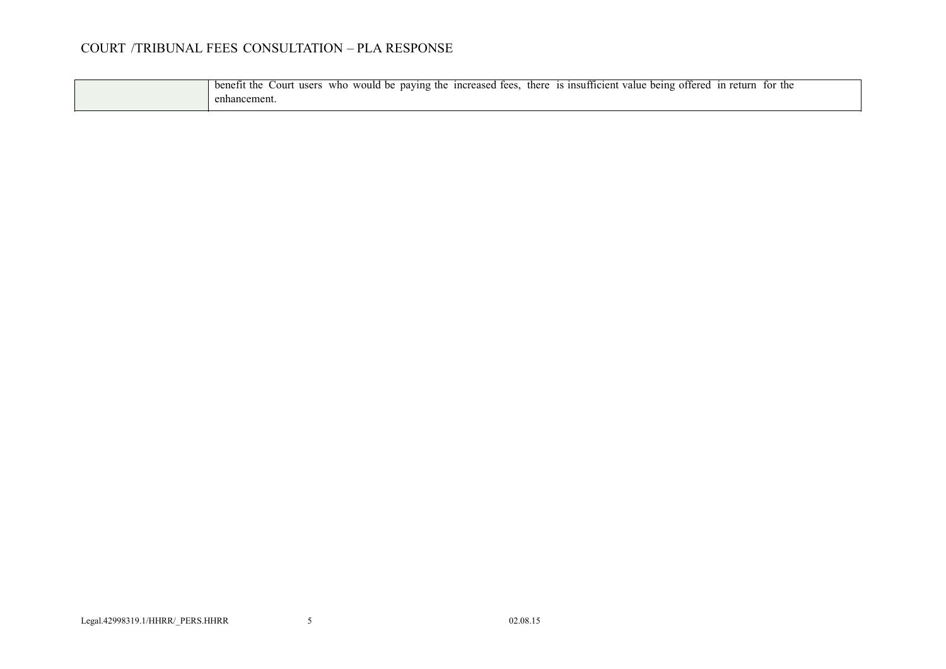| benetit<br>the<br>would be<br>unsutticient :<br>1 n creased<br>tor the<br>Court<br>who<br>paving the<br>there<br>in return<br>tees<br>users<br>offered<br>being<br>value |
|--------------------------------------------------------------------------------------------------------------------------------------------------------------------------|
| enhancement.                                                                                                                                                             |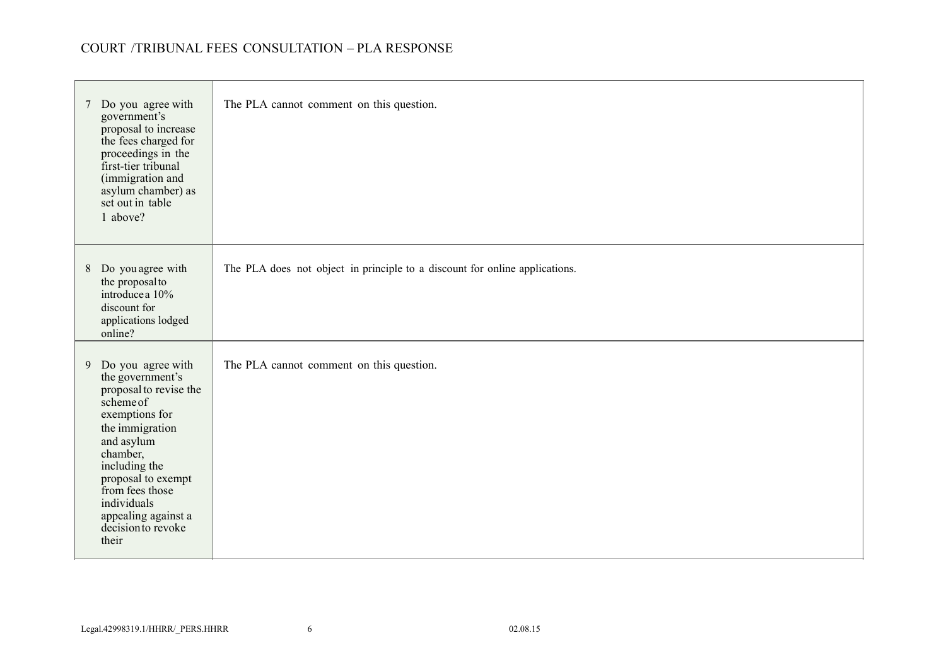| 7 Do you agree with<br>government's<br>proposal to increase<br>the fees charged for<br>proceedings in the<br>first-tier tribunal<br>(immigration and<br>asylum chamber) as<br>set out in table<br>1 above?                                                                   | The PLA cannot comment on this question.                                    |
|------------------------------------------------------------------------------------------------------------------------------------------------------------------------------------------------------------------------------------------------------------------------------|-----------------------------------------------------------------------------|
| 8 Do you agree with<br>the proposal to<br>introduce a 10%<br>discount for<br>applications lodged<br>online?                                                                                                                                                                  | The PLA does not object in principle to a discount for online applications. |
| 9 Do you agree with<br>the government's<br>proposal to revise the<br>scheme of<br>exemptions for<br>the immigration<br>and asylum<br>chamber,<br>including the<br>proposal to exempt<br>from fees those<br>individuals<br>appealing against a<br>decision to revoke<br>their | The PLA cannot comment on this question.                                    |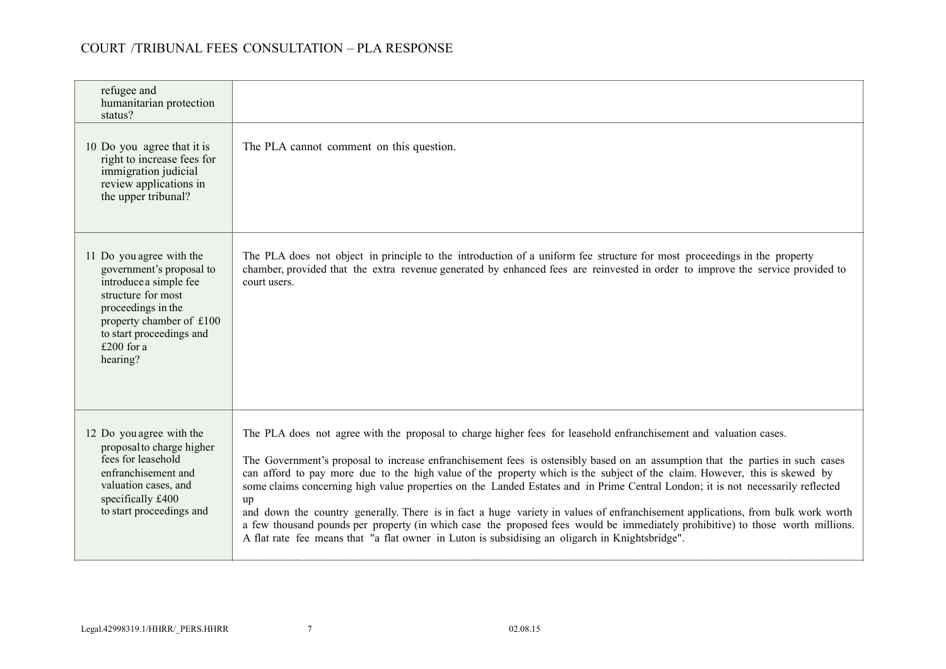| refugee and<br>humanitarian protection<br>status?                                                                                                                                                            |                                                                                                                                                                                                                                                                                                                                                                                                                                                                                                                                                                                                                                                                                                                                                                                                                                                                                                    |
|--------------------------------------------------------------------------------------------------------------------------------------------------------------------------------------------------------------|----------------------------------------------------------------------------------------------------------------------------------------------------------------------------------------------------------------------------------------------------------------------------------------------------------------------------------------------------------------------------------------------------------------------------------------------------------------------------------------------------------------------------------------------------------------------------------------------------------------------------------------------------------------------------------------------------------------------------------------------------------------------------------------------------------------------------------------------------------------------------------------------------|
| 10 Do you agree that it is<br>right to increase fees for<br>immigration judicial<br>review applications in<br>the upper tribunal?                                                                            | The PLA cannot comment on this question.                                                                                                                                                                                                                                                                                                                                                                                                                                                                                                                                                                                                                                                                                                                                                                                                                                                           |
| 11 Do you agree with the<br>government's proposal to<br>introduce a simple fee<br>structure for most<br>proceedings in the<br>property chamber of £100<br>to start proceedings and<br>£200 for a<br>hearing? | The PLA does not object in principle to the introduction of a uniform fee structure for most proceedings in the property<br>chamber, provided that the extra revenue generated by enhanced fees are reinvested in order to improve the service provided to<br>court users.                                                                                                                                                                                                                                                                                                                                                                                                                                                                                                                                                                                                                         |
| 12 Do you agree with the<br>proposal to charge higher<br>fees for leasehold<br>enfranchisement and<br>valuation cases, and<br>specifically £400<br>to start proceedings and                                  | The PLA does not agree with the proposal to charge higher fees for leasehold enfranchisement and valuation cases.<br>The Government's proposal to increase enfranchisement fees is ostensibly based on an assumption that the parties in such cases<br>can afford to pay more due to the high value of the property which is the subject of the claim. However, this is skewed by<br>some claims concerning high value properties on the Landed Estates and in Prime Central London; it is not necessarily reflected<br>up<br>and down the country generally. There is in fact a huge variety in values of enfranchisement applications, from bulk work worth<br>a few thousand pounds per property (in which case the proposed fees would be immediately prohibitive) to those worth millions.<br>A flat rate fee means that "a flat owner in Luton is subsidising an oligarch in Knightsbridge". |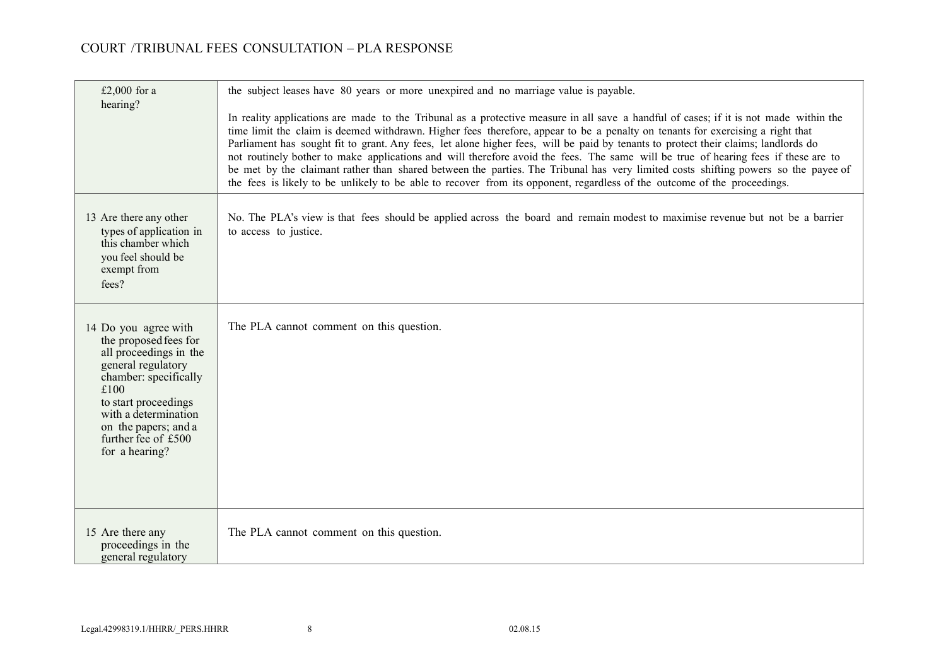| £2,000 for a<br>hearing?                                                                                                                                                                                                                        | the subject leases have 80 years or more unexpired and no marriage value is payable.<br>In reality applications are made to the Tribunal as a protective measure in all save a handful of cases; if it is not made within the<br>time limit the claim is deemed withdrawn. Higher fees therefore, appear to be a penalty on tenants for exercising a right that<br>Parliament has sought fit to grant. Any fees, let alone higher fees, will be paid by tenants to protect their claims; landlords do<br>not routinely bother to make applications and will therefore avoid the fees. The same will be true of hearing fees if these are to<br>be met by the claimant rather than shared between the parties. The Tribunal has very limited costs shifting powers so the payee of<br>the fees is likely to be unlikely to be able to recover from its opponent, regardless of the outcome of the proceedings. |
|-------------------------------------------------------------------------------------------------------------------------------------------------------------------------------------------------------------------------------------------------|---------------------------------------------------------------------------------------------------------------------------------------------------------------------------------------------------------------------------------------------------------------------------------------------------------------------------------------------------------------------------------------------------------------------------------------------------------------------------------------------------------------------------------------------------------------------------------------------------------------------------------------------------------------------------------------------------------------------------------------------------------------------------------------------------------------------------------------------------------------------------------------------------------------|
| 13 Are there any other<br>types of application in<br>this chamber which<br>vou feel should be<br>exempt from<br>fees?                                                                                                                           | No. The PLA's view is that fees should be applied across the board and remain modest to maximise revenue but not be a barrier<br>to access to justice.                                                                                                                                                                                                                                                                                                                                                                                                                                                                                                                                                                                                                                                                                                                                                        |
| 14 Do you agree with<br>the proposed fees for<br>all proceedings in the<br>general regulatory<br>chamber: specifically<br>£100<br>to start proceedings<br>with a determination<br>on the papers; and a<br>further fee of £500<br>for a hearing? | The PLA cannot comment on this question.                                                                                                                                                                                                                                                                                                                                                                                                                                                                                                                                                                                                                                                                                                                                                                                                                                                                      |
| 15 Are there any<br>proceedings in the<br>general regulatory                                                                                                                                                                                    | The PLA cannot comment on this question.                                                                                                                                                                                                                                                                                                                                                                                                                                                                                                                                                                                                                                                                                                                                                                                                                                                                      |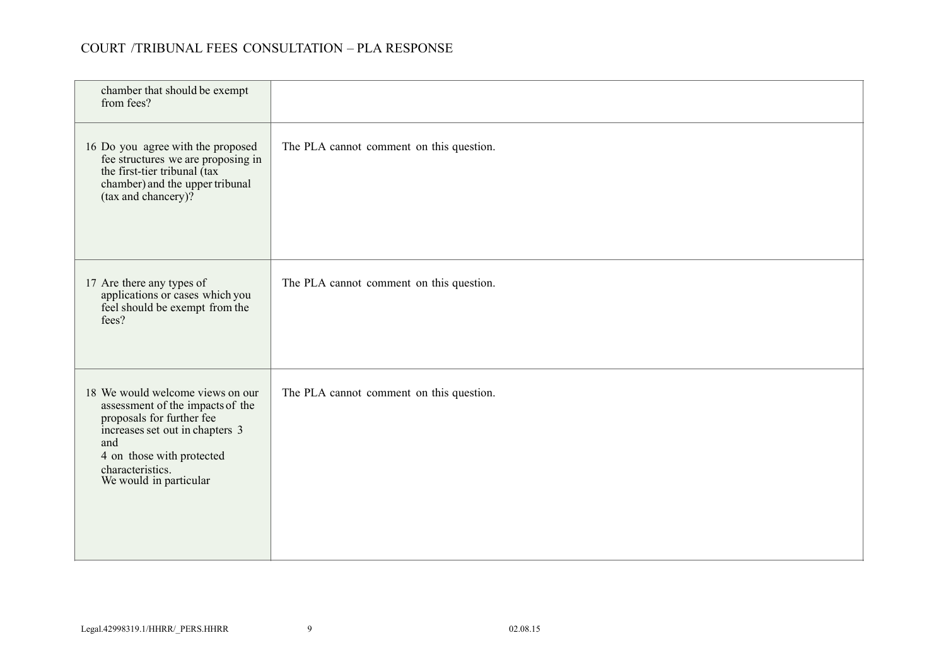| chamber that should be exempt<br>from fees?                                                                                                                                                                            |                                          |
|------------------------------------------------------------------------------------------------------------------------------------------------------------------------------------------------------------------------|------------------------------------------|
| 16 Do you agree with the proposed<br>fee structures we are proposing in<br>the first-tier tribunal (tax<br>chamber) and the upper tribunal<br>(tax and chancery)?                                                      | The PLA cannot comment on this question. |
| 17 Are there any types of<br>applications or cases which you<br>feel should be exempt from the<br>fees?                                                                                                                | The PLA cannot comment on this question. |
| 18 We would welcome views on our<br>assessment of the impacts of the<br>proposals for further fee<br>increases set out in chapters 3<br>and<br>4 on those with protected<br>characteristics.<br>We would in particular | The PLA cannot comment on this question. |